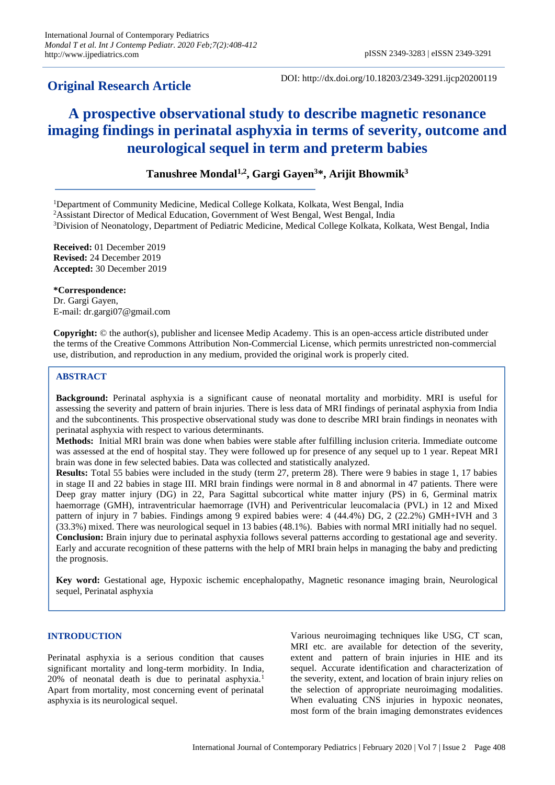## **Original Research Article**

DOI: http://dx.doi.org/10.18203/2349-3291.ijcp20200119

# **A prospective observational study to describe magnetic resonance imaging findings in perinatal asphyxia in terms of severity, outcome and neurological sequel in term and preterm babies**

### **Tanushree Mondal1,2 , Gargi Gayen<sup>3</sup>\*, Arijit Bhowmik<sup>3</sup>**

<sup>1</sup>Department of Community Medicine, Medical College Kolkata, Kolkata, West Bengal, India

<sup>2</sup>Assistant Director of Medical Education, Government of West Bengal, West Bengal, India

<sup>3</sup>Division of Neonatology, Department of Pediatric Medicine, Medical College Kolkata, Kolkata, West Bengal, India

**Received:** 01 December 2019 **Revised:** 24 December 2019 **Accepted:** 30 December 2019

**\*Correspondence:** Dr. Gargi Gayen, E-mail: dr.gargi07@gmail.com

**Copyright:** © the author(s), publisher and licensee Medip Academy. This is an open-access article distributed under the terms of the Creative Commons Attribution Non-Commercial License, which permits unrestricted non-commercial use, distribution, and reproduction in any medium, provided the original work is properly cited.

#### **ABSTRACT**

**Background:** Perinatal asphyxia is a significant cause of neonatal mortality and morbidity. MRI is useful for assessing the severity and pattern of brain injuries. There is less data of MRI findings of perinatal asphyxia from India and the subcontinents. This prospective observational study was done to describe MRI brain findings in neonates with perinatal asphyxia with respect to various determinants.

**Methods:** Initial MRI brain was done when babies were stable after fulfilling inclusion criteria. Immediate outcome was assessed at the end of hospital stay. They were followed up for presence of any sequel up to 1 year. Repeat MRI brain was done in few selected babies. Data was collected and statistically analyzed.

**Results:** Total 55 babies were included in the study (term 27, preterm 28). There were 9 babies in stage 1, 17 babies in stage II and 22 babies in stage III. MRI brain findings were normal in 8 and abnormal in 47 patients. There were Deep gray matter injury (DG) in 22, Para Sagittal subcortical white matter injury (PS) in 6, Germinal matrix haemorrage (GMH), intraventricular haemorrage (IVH) and Periventricular leucomalacia (PVL) in 12 and Mixed pattern of injury in 7 babies. Findings among 9 expired babies were: 4 (44.4%) DG, 2 (22.2%) GMH+IVH and 3 (33.3%) mixed. There was neurological sequel in 13 babies (48.1%). Babies with normal MRI initially had no sequel. **Conclusion:** Brain injury due to perinatal asphyxia follows several patterns according to gestational age and severity. Early and accurate recognition of these patterns with the help of MRI brain helps in managing the baby and predicting the prognosis.

**Key word:** Gestational age, Hypoxic ischemic encephalopathy, Magnetic resonance imaging brain, Neurological sequel, Perinatal asphyxia

#### **INTRODUCTION**

Perinatal asphyxia is a serious condition that causes significant mortality and long-term morbidity. In India, 20% of neonatal death is due to perinatal asphyxia.<sup>1</sup> Apart from mortality, most concerning event of perinatal asphyxia is its neurological sequel.

Various neuroimaging techniques like USG, CT scan, MRI etc. are available for detection of the severity, extent and pattern of brain injuries in HIE and its sequel. Accurate identification and characterization of the severity, extent, and location of brain injury relies on the selection of appropriate neuroimaging modalities. When evaluating CNS injuries in hypoxic neonates, most form of the brain imaging demonstrates evidences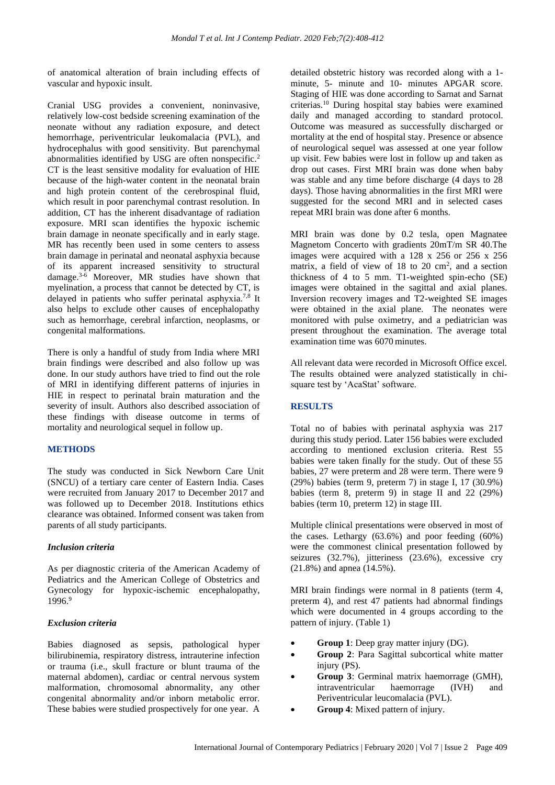of anatomical alteration of brain including effects of vascular and hypoxic insult.

Cranial USG provides a convenient, noninvasive, relatively low-cost bedside screening examination of the neonate without any radiation exposure, and detect hemorrhage, periventricular leukomalacia (PVL), and hydrocephalus with good sensitivity. But parenchymal abnormalities identified by USG are often nonspecific.<sup>2</sup> CT is the least sensitive modality for evaluation of HIE because of the high-water content in the neonatal brain and high protein content of the cerebrospinal fluid, which result in poor parenchymal contrast resolution. In addition, CT has the inherent disadvantage of radiation exposure. MRI scan identifies the hypoxic ischemic brain damage in neonate specifically and in early stage. MR has recently been used in some centers to assess brain damage in perinatal and neonatal asphyxia because of its apparent increased sensitivity to structural damage.3-6 Moreover, MR studies have shown that myelination, a process that cannot be detected by CT, is delayed in patients who suffer perinatal asphyxia.<sup>7,8</sup> It also helps to exclude other causes of encephalopathy such as hemorrhage, cerebral infarction, neoplasms, or congenital malformations.

There is only a handful of study from India where MRI brain findings were described and also follow up was done. In our study authors have tried to find out the role of MRI in identifying different patterns of injuries in HIE in respect to perinatal brain maturation and the severity of insult. Authors also described association of these findings with disease outcome in terms of mortality and neurological sequel in follow up.

#### **METHODS**

The study was conducted in Sick Newborn Care Unit (SNCU) of a tertiary care center of Eastern India. Cases were recruited from January 2017 to December 2017 and was followed up to December 2018. Institutions ethics clearance was obtained. Informed consent was taken from parents of all study participants.

#### *Inclusion criteria*

As per diagnostic criteria of the American Academy of Pediatrics and the American College of Obstetrics and Gynecology for hypoxic-ischemic encephalopathy, 1996<sup>9</sup>

#### *Exclusion criteria*

Babies diagnosed as sepsis, pathological hyper bilirubinemia, respiratory distress, intrauterine infection or trauma (i.e., skull fracture or blunt trauma of the maternal abdomen), cardiac or central nervous system malformation, chromosomal abnormality, any other congenital abnormality and/or inborn metabolic error. These babies were studied prospectively for one year. A

detailed obstetric history was recorded along with a 1 minute, 5- minute and 10- minutes APGAR score. Staging of HIE was done according to Sarnat and Sarnat criterias.<sup>10</sup> During hospital stay babies were examined daily and managed according to standard protocol. Outcome was measured as successfully discharged or mortality at the end of hospital stay. Presence or absence of neurological sequel was assessed at one year follow up visit. Few babies were lost in follow up and taken as drop out cases. First MRI brain was done when baby was stable and any time before discharge (4 days to 28 days). Those having abnormalities in the first MRI were suggested for the second MRI and in selected cases repeat MRI brain was done after 6 months.

MRI brain was done by 0.2 tesla, open Magnatee Magnetom Concerto with gradients 20mT/m SR 40.The images were acquired with a 128 x 256 or 256 x 256 matrix, a field of view of  $18$  to  $20 \text{ cm}^2$ , and a section thickness of 4 to 5 mm. T1-weighted spin-echo (SE) images were obtained in the sagittal and axial planes. Inversion recovery images and T2-weighted SE images were obtained in the axial plane. The neonates were monitored with pulse oximetry, and a pediatrician was present throughout the examination. The average total examination time was 6070 minutes.

All relevant data were recorded in Microsoft Office excel. The results obtained were analyzed statistically in chisquare test by 'AcaStat' software.

#### **RESULTS**

Total no of babies with perinatal asphyxia was 217 during this study period. Later 156 babies were excluded according to mentioned exclusion criteria. Rest 55 babies were taken finally for the study. Out of these 55 babies, 27 were preterm and 28 were term. There were 9 (29%) babies (term 9, preterm 7) in stage I, 17 (30.9%) babies (term 8, preterm 9) in stage II and 22 (29%) babies (term 10, preterm 12) in stage III.

Multiple clinical presentations were observed in most of the cases. Lethargy (63.6%) and poor feeding (60%) were the commonest clinical presentation followed by seizures (32.7%), jitteriness (23.6%), excessive cry (21.8%) and apnea (14.5%).

MRI brain findings were normal in 8 patients (term 4, preterm 4), and rest 47 patients had abnormal findings which were documented in 4 groups according to the pattern of injury. (Table 1)

- **Group 1**: Deep gray matter injury (DG).
- **Group 2**: Para Sagittal subcortical white matter injury (PS).
- **Group 3**: Germinal matrix haemorrage (GMH), intraventricular haemorrage (IVH) and Periventricular leucomalacia (PVL).
- **Group 4**: Mixed pattern of injury.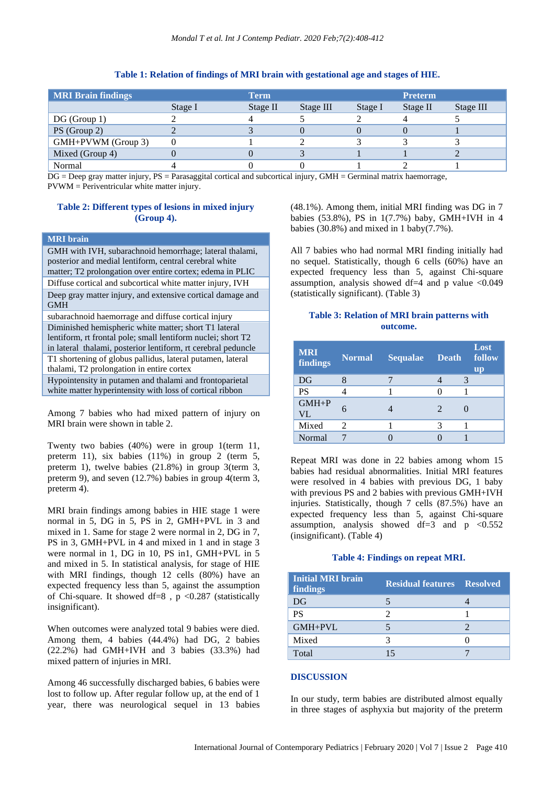#### **Table 1: Relation of findings of MRI brain with gestational age and stages of HIE.**

| <b>MRI Brain findings</b> |         | <b>Term</b> |           |         | <b>Preterm</b> |           |
|---------------------------|---------|-------------|-----------|---------|----------------|-----------|
|                           | Stage I | Stage II    | Stage III | Stage I | Stage II       | Stage III |
| DG(Group 1)               |         |             |           |         |                |           |
| PS (Group 2)              |         |             |           |         |                |           |
| GMH+PVWM (Group 3)        |         |             |           |         |                |           |
| Mixed (Group 4)           |         |             |           |         |                |           |
| Normal                    |         |             |           |         |                |           |

DG = Deep gray matter injury, PS = Parasaggital cortical and subcortical injury, GMH = Germinal matrix haemorrage, PVWM = Periventricular white matter injury.

#### **Table 2: Different types of lesions in mixed injury (Group 4).**

#### **MRI brain**

GMH with IVH, subarachnoid hemorrhage; lateral thalami, posterior and medial lentiform, central cerebral white matter; T2 prolongation over entire cortex; edema in PLIC Diffuse cortical and subcortical white matter injury, IVH Deep gray matter injury, and extensive cortical damage and GMH subarachnoid haemorrage and diffuse cortical injury Diminished hemispheric white matter; short T1 lateral lentiform, rt frontal pole; small lentiform nuclei; short T2 in lateral thalami, posterior lentiform, rt cerebral peduncle T1 shortening of globus pallidus, lateral putamen, lateral thalami, T2 prolongation in entire cortex Hypointensity in putamen and thalami and frontoparietal white matter hyperintensity with loss of cortical ribbon

Among 7 babies who had mixed pattern of injury on MRI brain were shown in table 2.

Twenty two babies (40%) were in group 1(term 11, preterm 11), six babies (11%) in group 2 (term 5, preterm 1), twelve babies (21.8%) in group 3(term 3, preterm 9), and seven (12.7%) babies in group 4(term 3, preterm 4).

MRI brain findings among babies in HIE stage 1 were normal in 5, DG in 5, PS in 2, GMH+PVL in 3 and mixed in 1. Same for stage 2 were normal in 2, DG in 7, PS in 3, GMH+PVL in 4 and mixed in 1 and in stage 3 were normal in 1, DG in 10, PS in1, GMH+PVL in 5 and mixed in 5. In statistical analysis, for stage of HIE with MRI findings, though 12 cells (80%) have an expected frequency less than 5, against the assumption of Chi-square. It showed df=8,  $p$  <0.287 (statistically insignificant).

When outcomes were analyzed total 9 babies were died. Among them, 4 babies (44.4%) had DG, 2 babies (22.2%) had GMH+IVH and 3 babies (33.3%) had mixed pattern of injuries in MRI.

Among 46 successfully discharged babies, 6 babies were lost to follow up. After regular follow up, at the end of 1 year, there was neurological sequel in 13 babies (48.1%). Among them, initial MRI finding was DG in 7 babies (53.8%), PS in 1(7.7%) baby, GMH+IVH in 4 babies (30.8%) and mixed in 1 baby(7.7%).

All 7 babies who had normal MRI finding initially had no sequel. Statistically, though 6 cells (60%) have an expected frequency less than 5, against Chi-square assumption, analysis showed df=4 and p value  $\langle 0.049 \rangle$ (statistically significant). (Table 3)

#### **Table 3: Relation of MRI brain patterns with outcome.**

| <b>MRI</b><br>findings | <b>Normal</b>         | <b>Sequalae</b> | <b>Death</b>                | Lost<br>follow<br><b>up</b> |
|------------------------|-----------------------|-----------------|-----------------------------|-----------------------------|
| DG                     |                       |                 |                             |                             |
| <b>PS</b>              |                       |                 |                             |                             |
| $GMH + P$<br><b>VL</b> |                       |                 | $\mathcal{D}_{\mathcal{A}}$ |                             |
| Mixed                  | $\mathcal{D}_{\cdot}$ |                 |                             |                             |
| Normal                 |                       |                 |                             |                             |

Repeat MRI was done in 22 babies among whom 15 babies had residual abnormalities. Initial MRI features were resolved in 4 babies with previous DG, 1 baby with previous PS and 2 babies with previous GMH+IVH injuries. Statistically, though 7 cells (87.5%) have an expected frequency less than 5, against Chi-square assumption, analysis showed df=3 and  $p \le 0.552$ (insignificant). (Table 4)

#### **Table 4: Findings on repeat MRI.**

| <b>Initial MRI brain</b><br>findings | <b>Residual features Resolved</b> |  |
|--------------------------------------|-----------------------------------|--|
| DG                                   |                                   |  |
| <b>PS</b>                            |                                   |  |
| GMH+PVL                              |                                   |  |
| Mixed                                |                                   |  |
| Total                                |                                   |  |

#### **DISCUSSION**

In our study, term babies are distributed almost equally in three stages of asphyxia but majority of the preterm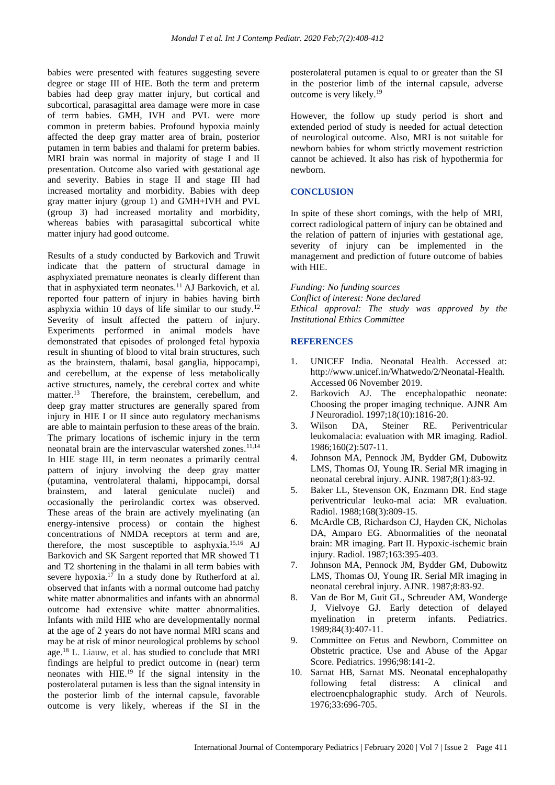babies were presented with features suggesting severe degree or stage III of HIE. Both the term and preterm babies had deep gray matter injury, but cortical and subcortical, parasagittal area damage were more in case of term babies. GMH, IVH and PVL were more common in preterm babies. Profound hypoxia mainly affected the deep gray matter area of brain, posterior putamen in term babies and thalami for preterm babies. MRI brain was normal in majority of stage I and II presentation. Outcome also varied with gestational age and severity. Babies in stage II and stage III had increased mortality and morbidity. Babies with deep gray matter injury (group 1) and GMH+IVH and PVL (group 3) had increased mortality and morbidity, whereas babies with parasagittal subcortical white matter injury had good outcome.

Results of a study conducted by Barkovich and Truwit indicate that the pattern of structural damage in asphyxiated premature neonates is clearly different than that in asphyxiated term neonates.<sup>11</sup> AJ Barkovich, et al. reported four pattern of injury in babies having birth asphyxia within 10 days of life similar to our study.<sup>12</sup> Severity of insult affected the pattern of injury. Experiments performed in animal models have demonstrated that episodes of prolonged fetal hypoxia result in shunting of blood to vital brain structures, such as the brainstem, thalami, basal ganglia, hippocampi, and cerebellum, at the expense of less metabolically active structures, namely, the cerebral cortex and white matter.<sup>13</sup> Therefore, the brainstem, cerebellum, and deep gray matter structures are generally spared from injury in HIE I or II since auto regulatory mechanisms are able to maintain perfusion to these areas of the brain. The primary locations of ischemic injury in the term neonatal brain are the intervascular watershed zones.<sup>11,14</sup> In HIE stage III, in term neonates a primarily central pattern of injury involving the deep gray matter (putamina, ventrolateral thalami, hippocampi, dorsal brainstem, and lateral geniculate nuclei) and occasionally the perirolandic cortex was observed. These areas of the brain are actively myelinating (an energy-intensive process) or contain the highest concentrations of NMDA receptors at term and are, therefore, the most susceptible to asphyxia.15,16 AJ Barkovich and SK Sargent reported that MR showed T1 and T2 shortening in the thalami in all term babies with severe hypoxia.<sup>17</sup> In a study done by Rutherford at al. observed that infants with a normal outcome had patchy white matter abnormalities and infants with an abnormal outcome had extensive white matter abnormalities. Infants with mild HIE who are developmentally normal at the age of 2 years do not have normal MRI scans and may be at risk of minor neurological problems by school age.<sup>18</sup> L. Liauw, et al. has studied to conclude that MRI findings are helpful to predict outcome in (near) term neonates with  $HIE<sup>19</sup>$  If the signal intensity in the posterolateral putamen is less than the signal intensity in the posterior limb of the internal capsule, favorable outcome is very likely, whereas if the SI in the posterolateral putamen is equal to or greater than the SI in the posterior limb of the internal capsule, adverse outcome is very likely.<sup>19</sup>

However, the follow up study period is short and extended period of study is needed for actual detection of neurological outcome. Also, MRI is not suitable for newborn babies for whom strictly movement restriction cannot be achieved. It also has risk of hypothermia for newborn.

#### **CONCLUSION**

In spite of these short comings, with the help of MRI, correct radiological pattern of injury can be obtained and the relation of pattern of injuries with gestational age, severity of injury can be implemented in the management and prediction of future outcome of babies with HIE.

*Funding: No funding sources Conflict of interest: None declared Ethical approval: The study was approved by the Institutional Ethics Committee*

#### **REFERENCES**

- 1. UNICEF India. Neonatal Health. Accessed at: http://www.unicef.in/Whatwedo/2/Neonatal-Health. Accessed 06 November 2019.
- 2. Barkovich AJ. The encephalopathic neonate: Choosing the proper imaging technique. AJNR Am J Neuroradiol. 1997;18(10):1816-20.
- 3. Wilson DA, Steiner RE. Periventricular leukomalacia: evaluation with MR imaging. Radiol. 1986;160(2):507-11.
- 4. Johnson MA, Pennock JM, Bydder GM, Dubowitz LMS, Thomas OJ, Young IR. Serial MR imaging in neonatal cerebral injury. AJNR. 1987;8(1):83-92.
- 5. Baker LL, Stevenson OK, Enzmann DR. End stage periventricular leuko-mal acia: MR evaluation. Radiol. 1988;168(3):809-15.
- 6. McArdle CB, Richardson CJ, Hayden CK, Nicholas DA, Amparo EG. Abnormalities of the neonatal brain: MR imaging. Part II. Hypoxic-ischemic brain injury. Radiol. 1987;163:395-403.
- 7. Johnson MA, Pennock JM, Bydder GM, Dubowitz LMS, Thomas OJ, Young IR. Serial MR imaging in neonatal cerebral injury. AJNR. 1987;8:83-92.
- 8. Van de Bor M, Guit GL, Schreuder AM, Wonderge J, Vielvoye GJ. Early detection of delayed myelination in preterm infants. Pediatrics. 1989;84(3):407-11.
- 9. Committee on Fetus and Newborn, Committee on Obstetric practice. Use and Abuse of the Apgar Score. Pediatrics. 1996;98:141-2.
- 10. Sarnat HB, Sarnat MS. Neonatal encephalopathy following fetal distress: A clinical and electroencphalographic study. Arch of Neurols. 1976;33:696-705.